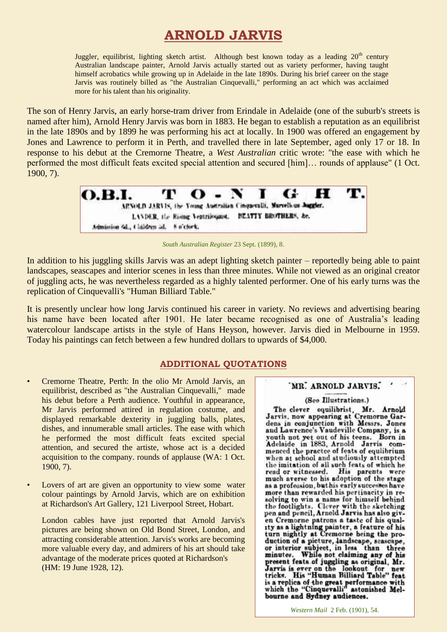# **ARNOLD JARVIS**

Juggler, equilibrist, lighting sketch artist. Although best known today as a leading  $20<sup>th</sup>$  century Australian landscape painter, Arnold Jarvis actually started out as variety performer, having taught himself acrobatics while growing up in Adelaide in the late 1890s. During his brief career on the stage Jarvis was routinely billed as "the Australian Cinquevalli," performing an act which was acclaimed more for his talent than his originality.

The son of Henry Jarvis, an early horse-tram driver from Erindale in Adelaide (one of the suburb's streets is named after him), Arnold Henry Jarvis was born in 1883. He began to establish a reputation as an equilibrist in the late 1890s and by 1899 he was performing his act at locally. In 1900 was offered an engagement by Jones and Lawrence to perform it in Perth, and travelled there in late September, aged only 17 or 18. In response to his debut at the Cremorne Theatre, a *West Australian* critic wrote: "the ease with which he performed the most difficult feats excited special attention and secured [him]… rounds of applause" (1 Oct. 1900, 7).



*South Australian Register* 23 Sept. (1899), 8.

In addition to his juggling skills Jarvis was an adept lighting sketch painter – reportedly being able to paint landscapes, seascapes and interior scenes in less than three minutes. While not viewed as an original creator of juggling acts, he was nevertheless regarded as a highly talented performer. One of his early turns was the replication of Cinquevalli's "Human Billiard Table."

It is presently unclear how long Jarvis continued his career in variety. No reviews and advertising bearing his name have been located after 1901. He later became recognised as one of Australia's leading watercolour landscape artists in the style of Hans Heyson, however. Jarvis died in Melbourne in 1959. Today his paintings can fetch between a few hundred dollars to upwards of \$4,000.

## **ADDITIONAL QUOTATIONS**

- Cremorne Theatre, Perth: In the olio Mr Arnold Jarvis, an equilibrist, described as "the Australian Cinquevalli," made his debut before a Perth audience. Youthful in appearance, Mr Jarvis performed attired in regulation costume, and displayed remarkable dexterity in juggling balls, plates, dishes, and innumerable small articles. The ease with which he performed the most difficult feats excited special attention, and secured the artiste, whose act is a decided acquisition to the company. rounds of applause (WA: 1 Oct. 1900, 7).
- Lovers of art are given an opportunity to view some water colour paintings by Arnold Jarvis, which are on exhibition at Richardson's Art Gallery, 121 Liverpool Street, Hobart.

London cables have just reported that Arnold Jarvis's pictures are being shown on Old Bond Street, London, and attracting considerable attention. Jarvis's works are becoming more valuable every day, and admirers of his art should take advantage of the moderate prices quoted at Richardson's (HM: 19 June 1928, 12).

### 'MR. ARNOLD JARVIS.

#### (See Illustrations.)

The clever equilibrist, Mr. Arnold<br>Jarvis, now appearing at Cremorne Gardens in conjunction with Messrs. Jones and Lawrence's Vaudeville Company, is a vouth not yet out of his teens. Born in Adelaide in 1883, Arnold Jarvis commenced the practee of feats of equlibrium when at school and studiously attempted the imitation of all such feats of which he<br>read or witnessed. His parents were<br>much averse to his adoption of the stage as a profession, but his early successes have more than rewarded his pertinacity in resolving to win a name for himself behind the footlights. Clever with the sketching<br>pen and pencil, Arnold Jarvis has also given Cremorne patrons a taste of his qual-<br>1ty as a lightning painter, a feature of his<br>turn nightly at Cremorne being the produrin inghity at Cremonie Being the pro-<br>duction of a picture, landscape, seascape,<br>or interior subject, in less than three<br>minutes. While not claiming any of his minutes. While not claiming any or his<br>present feats of juggling as original, Mr.<br>Jarvis is ever on the lookout for new<br>tricks. His "Human Billiard Table" feat is a replica of the great performance with<br>which the "Cinquevalli" astonished Melbourne and Sydney audiences.

*Western Mail* 2 Feb. (1901), 54.